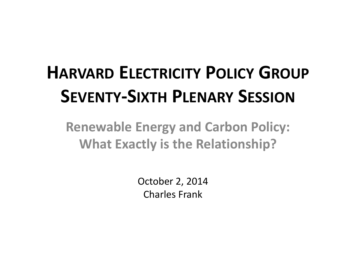# **HARVARD ELECTRICITY POLICY GROUP SEVENTY‐SIXTH PLENARY SESSION**

**Renewable Energy and Carbon Policy: What Exactly is the Relationship?**

> October 2, 2014 Charles Frank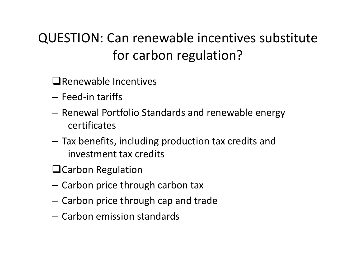## QUESTION: Can renewable incentives substitute for carbon regulation?

- $\square$ Renewable Incentives
- Feed‐in tariffs
- $-$  Renewal Portfolio Standards and renewable energy certificates
- – $-$  Tax benefits, including production tax credits and investment tax credits
- $\square$ Carbon Regulation
- Carbon price through carbon tax
- $-$  Carbon price through cap and trade
- Carbon emission standards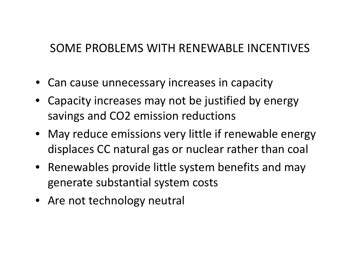### SOME PROBLEMS WITH RENEWABLE INCENTIVES

- Can cause unnecessary increases in capacity
- Capacity increases may not be justified by energy savings and CO2 emission reductions
- May reduce emissions very little if renewable energy displaces CC natural gas or nuclear rather than coal
- Renewables provide little system benefits and may generate substantial system costs
- Are not technology neutral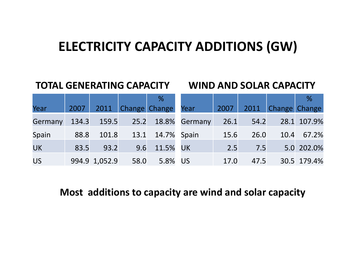### **ELECTRICITY CAPACITY ADDITIONS (GW)**

### **TOTAL GENERATING CAPACITY WIND AND SOLAR CAPACITY**

|           |      |               |      | %                      |                                |      |      |                    | %           |
|-----------|------|---------------|------|------------------------|--------------------------------|------|------|--------------------|-------------|
| Year      | 2007 |               |      | 2011 Change Change     | Year                           | 2007 |      | 2011 Change Change |             |
| Germany   |      |               |      |                        | 134.3 159.5 25.2 18.8% Germany | 26.1 | 54.2 |                    | 28.1 107.9% |
| Spain     | 88.8 |               |      | 101.8 13.1 14.7% Spain |                                | 15.6 | 26.0 |                    | 10.4 67.2%  |
| <b>UK</b> | 83.5 | 93.2          |      | 9.6 11.5% UK           |                                | 2.5  | 7.5  |                    | 5.0 202.0%  |
| US        |      | 994.9 1,052.9 | 58.0 | 5.8% US                |                                | 17.0 | 47.5 |                    | 30.5 179.4% |

### **Most additions to capacity are wind and solar capacity**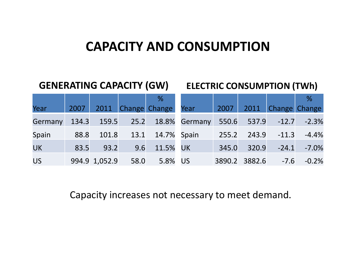### **CAPACITY AND CONSUMPTION**

### **GENERATING CAPACITY (GW) ELECTRIC CONSUMPTION (TWh)**

|                |      |                    | %                       |                                                        |       |             |                          | %                    |
|----------------|------|--------------------|-------------------------|--------------------------------------------------------|-------|-------------|--------------------------|----------------------|
| Year           |      |                    | 2007 2011 Change Change | Year                                                   | 2007  |             |                          | 2011 Change Change   |
| <b>Germany</b> |      |                    |                         | 134.3 159.5 25.2 18.8% Germany 550.6 537.9 -12.7 -2.3% |       |             |                          |                      |
| Spain          | 88.8 |                    | 101.8 13.1 14.7% Spain  |                                                        | 255.2 |             |                          | $243.9 -11.3 -4.4\%$ |
| <b>UK</b>      | 83.5 | 93.2               | 9.6 11.5% UK            |                                                        |       | 345.0 320.9 |                          | $-24.1 - 7.0\%$      |
| <b>US</b>      |      | 994.9 1,052.9 58.0 | 5.8% US                 |                                                        |       |             | 3890.2 3882.6 -7.6 -0.2% |                      |

Capacity increases not necessary to meet demand.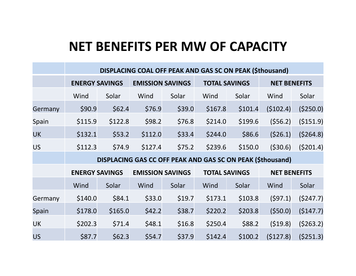### **NET BENEFITS PER MW OF CAPACITY**

|           | DISPLACING COAL OFF PEAK AND GAS SC ON PEAK (\$thousand) |                                                            |                         |        |                      |                      |                     |                     |  |  |  |
|-----------|----------------------------------------------------------|------------------------------------------------------------|-------------------------|--------|----------------------|----------------------|---------------------|---------------------|--|--|--|
|           | <b>ENERGY SAVINGS</b>                                    |                                                            | <b>EMISSION SAVINGS</b> |        | <b>TOTAL SAVINGS</b> |                      | <b>NET BENEFITS</b> |                     |  |  |  |
|           | Wind                                                     | Solar                                                      | Wind                    | Solar  | Wind                 | Solar                | Wind                | Solar               |  |  |  |
| Germany   | \$90.9                                                   | \$62.4                                                     | \$76.9                  | \$39.0 | \$167.8              | \$101.4              | (5102.4)            | (\$250.0)           |  |  |  |
| Spain     | \$115.9                                                  | \$122.8                                                    | \$98.2                  | \$76.8 | \$214.0              | \$199.6              | (556.2)             | ( \$151.9)          |  |  |  |
| <b>UK</b> | \$132.1                                                  | \$53.2                                                     | \$112.0                 | \$33.4 | \$244.0              | \$86.6               | (526.1)             | (5264.8)            |  |  |  |
| <b>US</b> | \$112.3                                                  | \$74.9                                                     | \$127.4                 | \$75.2 | \$239.6              | \$150.0              | ( \$30.6)           | (5201.4)            |  |  |  |
|           |                                                          | DISPLACING GAS CC OFF PEAK AND GAS SC ON PEAK (\$thousand) |                         |        |                      |                      |                     |                     |  |  |  |
|           | <b>ENERGY SAVINGS</b>                                    |                                                            | <b>EMISSION SAVINGS</b> |        |                      | <b>TOTAL SAVINGS</b> |                     | <b>NET BENEFITS</b> |  |  |  |
|           | Wind                                                     | Solar                                                      | Wind                    | Solar  | Wind                 | Solar                | Wind                | Solar               |  |  |  |
| Germany   | \$140.0                                                  | \$84.1                                                     | \$33.0                  | \$19.7 | \$173.1              | \$103.8              | (597.1)             | (5247.7)            |  |  |  |
| Spain     | \$178.0                                                  | \$165.0                                                    | \$42.2                  | \$38.7 | \$220.2              | \$203.8              | (550.0)             | (5147.7)            |  |  |  |
| <b>UK</b> | \$202.3                                                  | \$71.4                                                     | \$48.1                  | \$16.8 | \$250.4              | \$88.2               | (519.8)             | (5263.2)            |  |  |  |
| <b>US</b> | \$87.7                                                   | \$62.3                                                     | \$54.7                  | \$37.9 | \$142.4              | \$100.2              | (5127.8)            | (5251.3)            |  |  |  |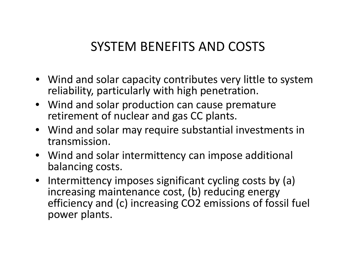### SYSTEM BENEFITS AND COSTS

- Wind and solar capacity contributes very little to system reliability, particularly with high penetration.
- Wind and solar production can cause premature retirement of nuclear and gas CC plants.
- Wind and solar may require substantial investments in transmission.
- Wind and solar intermittency can impose additional balancing costs.
- Intermittency imposes significant cycling costs by (a) increasing maintenance cost, (b) reducing energy efficiency and (c) increasing CO2 emissions of fossil fuel power plants.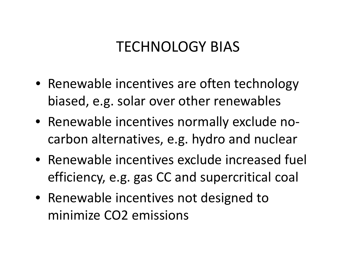## TECHNOLOGY BIAS

- Renewable incentives are often technology biased, e.g. solar over other renewables
- Renewable incentives normally exclude no‐ carbon alternatives, e.g. hydro and nuclear
- Renewable incentives exclude increased fuel efficiency, e.g. gas CC and supercritical coal
- Renewable incentives not designed to minimize CO2 emissions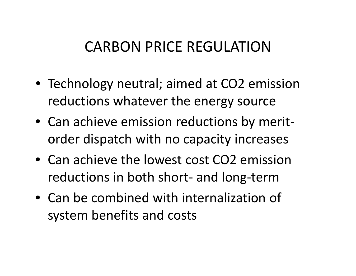## CARBON PRICE REGULATION

- Technology neutral; aimed at CO2 emission reductions whatever the energy source
- Can achieve emission reductions by merit‐ order dispatch with no capacity increases
- Can achieve the lowest cost CO2 emission reductions in both short‐ and long‐term
- Can be combined with internalization of system benefits and costs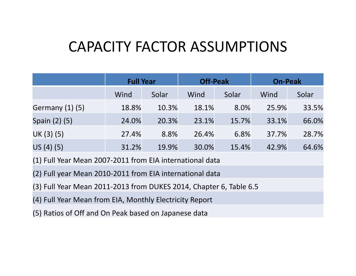## CAPACITY FACTOR ASSUMPTIONS

|                                                          | <b>Full Year</b> |       | <b>Off-Peak</b> |       | <b>On-Peak</b> |       |  |  |
|----------------------------------------------------------|------------------|-------|-----------------|-------|----------------|-------|--|--|
|                                                          | Wind             | Solar | Wind            | Solar | Wind           | Solar |  |  |
| <b>Germany (1) (5)</b>                                   | 18.8%            | 10.3% | 18.1%           | 8.0%  | 25.9%          | 33.5% |  |  |
| Spain (2) (5)                                            | 24.0%            | 20.3% | 23.1%           | 15.7% | 33.1%          | 66.0% |  |  |
| UK (3) (5)                                               | 27.4%            | 8.8%  | 26.4%           | 6.8%  | 37.7%          | 28.7% |  |  |
| US(4)(5)                                                 | 31.2%            | 19.9% | 30.0%           | 15.4% | 42.9%          | 64.6% |  |  |
| (1) Full Year Mean 2007-2011 from EIA international data |                  |       |                 |       |                |       |  |  |

(2) Full year Mean 2010‐2011 from EIA international data

(3) Full Year Mean 2011‐2013 from DUKES 2014, Chapter 6, Table 6.5

(4) Full Year Mean from EIA, Monthly Electricity Report

(5) Ratios of Off and On Peak based on Japanese data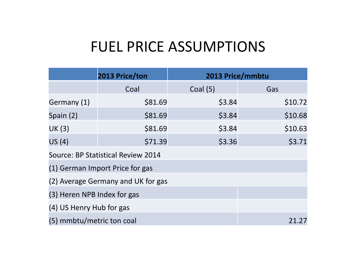### FUEL PRICE ASSUMPTIONS

|                                    | 2013 Price/ton                     | 2013 Price/mmbtu |         |  |  |  |  |  |  |
|------------------------------------|------------------------------------|------------------|---------|--|--|--|--|--|--|
|                                    | Coal                               | Coal $(5)$       | Gas     |  |  |  |  |  |  |
| Germany (1)                        | \$81.69                            | \$3.84           | \$10.72 |  |  |  |  |  |  |
| Spain (2)                          | \$81.69                            | \$3.84           | \$10.68 |  |  |  |  |  |  |
| <b>UK (3)</b>                      | \$81.69                            | \$3.84           | \$10.63 |  |  |  |  |  |  |
| US(4)                              | \$71.39                            | \$3.36           | \$3.71  |  |  |  |  |  |  |
| Source: BP Statistical Review 2014 |                                    |                  |         |  |  |  |  |  |  |
|                                    | (1) German Import Price for gas    |                  |         |  |  |  |  |  |  |
|                                    | (2) Average Germany and UK for gas |                  |         |  |  |  |  |  |  |
| (3) Heren NPB Index for gas        |                                    |                  |         |  |  |  |  |  |  |
| (4) US Henry Hub for gas           |                                    |                  |         |  |  |  |  |  |  |
| (5) mmbtu/metric ton coal          |                                    |                  |         |  |  |  |  |  |  |